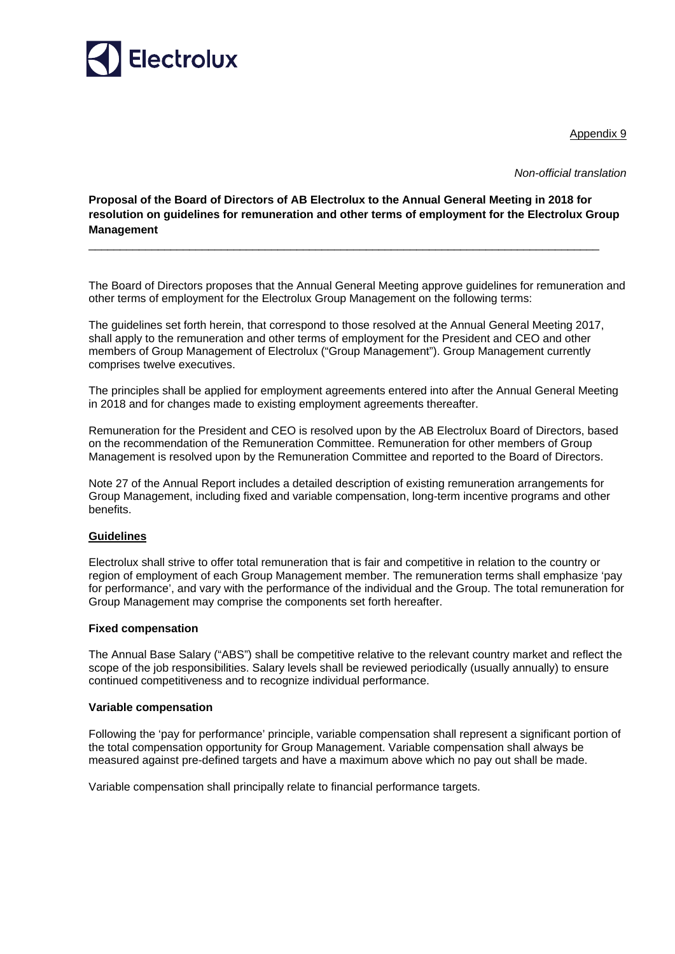

Appendix 9

*Non-official translation* 

**Proposal of the Board of Directors of AB Electrolux to the Annual General Meeting in 2018 for resolution on guidelines for remuneration and other terms of employment for the Electrolux Group Management** 

\_\_\_\_\_\_\_\_\_\_\_\_\_\_\_\_\_\_\_\_\_\_\_\_\_\_\_\_\_\_\_\_\_\_\_\_\_\_\_\_\_\_\_\_\_\_\_\_\_\_\_\_\_\_\_\_\_\_\_\_\_\_\_\_\_\_\_\_\_\_\_\_\_\_\_\_\_\_\_\_\_

The Board of Directors proposes that the Annual General Meeting approve guidelines for remuneration and other terms of employment for the Electrolux Group Management on the following terms:

The guidelines set forth herein, that correspond to those resolved at the Annual General Meeting 2017, shall apply to the remuneration and other terms of employment for the President and CEO and other members of Group Management of Electrolux ("Group Management"). Group Management currently comprises twelve executives.

The principles shall be applied for employment agreements entered into after the Annual General Meeting in 2018 and for changes made to existing employment agreements thereafter.

Remuneration for the President and CEO is resolved upon by the AB Electrolux Board of Directors, based on the recommendation of the Remuneration Committee. Remuneration for other members of Group Management is resolved upon by the Remuneration Committee and reported to the Board of Directors.

Note 27 of the Annual Report includes a detailed description of existing remuneration arrangements for Group Management, including fixed and variable compensation, long-term incentive programs and other benefits.

# **Guidelines**

Electrolux shall strive to offer total remuneration that is fair and competitive in relation to the country or region of employment of each Group Management member. The remuneration terms shall emphasize 'pay for performance', and vary with the performance of the individual and the Group. The total remuneration for Group Management may comprise the components set forth hereafter.

### **Fixed compensation**

The Annual Base Salary ("ABS") shall be competitive relative to the relevant country market and reflect the scope of the job responsibilities. Salary levels shall be reviewed periodically (usually annually) to ensure continued competitiveness and to recognize individual performance.

### **Variable compensation**

Following the 'pay for performance' principle, variable compensation shall represent a significant portion of the total compensation opportunity for Group Management. Variable compensation shall always be measured against pre-defined targets and have a maximum above which no pay out shall be made.

Variable compensation shall principally relate to financial performance targets.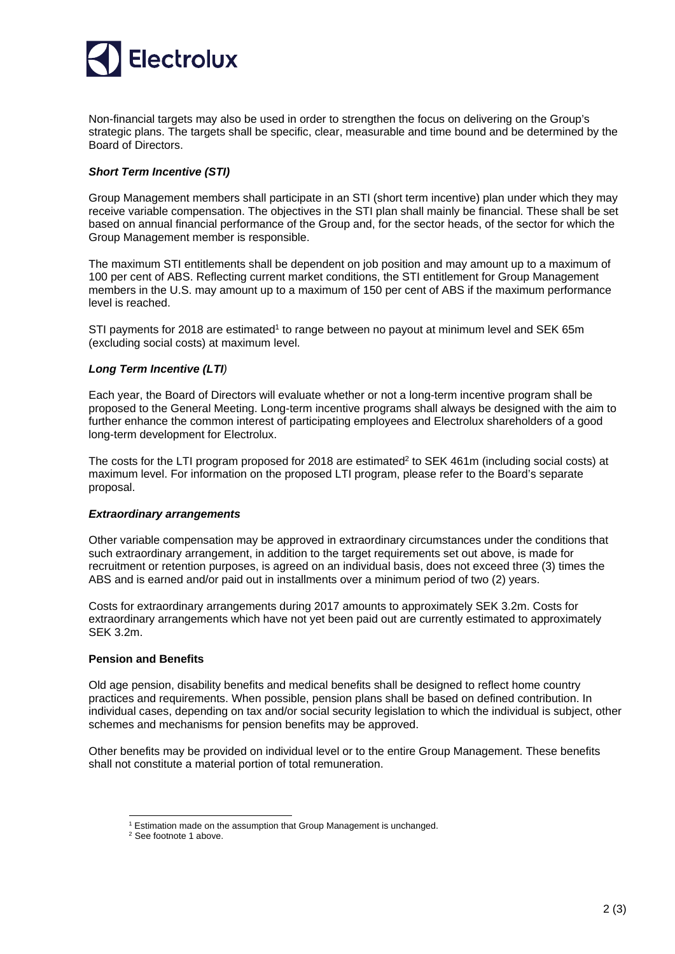

Non-financial targets may also be used in order to strengthen the focus on delivering on the Group's strategic plans. The targets shall be specific, clear, measurable and time bound and be determined by the Board of Directors.

# *Short Term Incentive (STI)*

Group Management members shall participate in an STI (short term incentive) plan under which they may receive variable compensation. The objectives in the STI plan shall mainly be financial. These shall be set based on annual financial performance of the Group and, for the sector heads, of the sector for which the Group Management member is responsible.

The maximum STI entitlements shall be dependent on job position and may amount up to a maximum of 100 per cent of ABS. Reflecting current market conditions, the STI entitlement for Group Management members in the U.S. may amount up to a maximum of 150 per cent of ABS if the maximum performance level is reached.

STI payments for 2018 are estimated<sup>1</sup> to range between no payout at minimum level and SEK 65m (excluding social costs) at maximum level.

## *Long Term Incentive (LTI)*

Each year, the Board of Directors will evaluate whether or not a long-term incentive program shall be proposed to the General Meeting. Long-term incentive programs shall always be designed with the aim to further enhance the common interest of participating employees and Electrolux shareholders of a good long-term development for Electrolux.

The costs for the LTI program proposed for 2018 are estimated<sup>2</sup> to SEK 461m (including social costs) at maximum level. For information on the proposed LTI program, please refer to the Board's separate proposal.

### *Extraordinary arrangements*

Other variable compensation may be approved in extraordinary circumstances under the conditions that such extraordinary arrangement, in addition to the target requirements set out above, is made for recruitment or retention purposes, is agreed on an individual basis, does not exceed three (3) times the ABS and is earned and/or paid out in installments over a minimum period of two (2) years.

Costs for extraordinary arrangements during 2017 amounts to approximately SEK 3.2m. Costs for extraordinary arrangements which have not yet been paid out are currently estimated to approximately SEK 3.2m.

### **Pension and Benefits**

-

Old age pension, disability benefits and medical benefits shall be designed to reflect home country practices and requirements. When possible, pension plans shall be based on defined contribution. In individual cases, depending on tax and/or social security legislation to which the individual is subject, other schemes and mechanisms for pension benefits may be approved.

Other benefits may be provided on individual level or to the entire Group Management. These benefits shall not constitute a material portion of total remuneration.

<sup>&</sup>lt;sup>1</sup> Estimation made on the assumption that Group Management is unchanged.

<sup>&</sup>lt;sup>2</sup> See footnote 1 above.